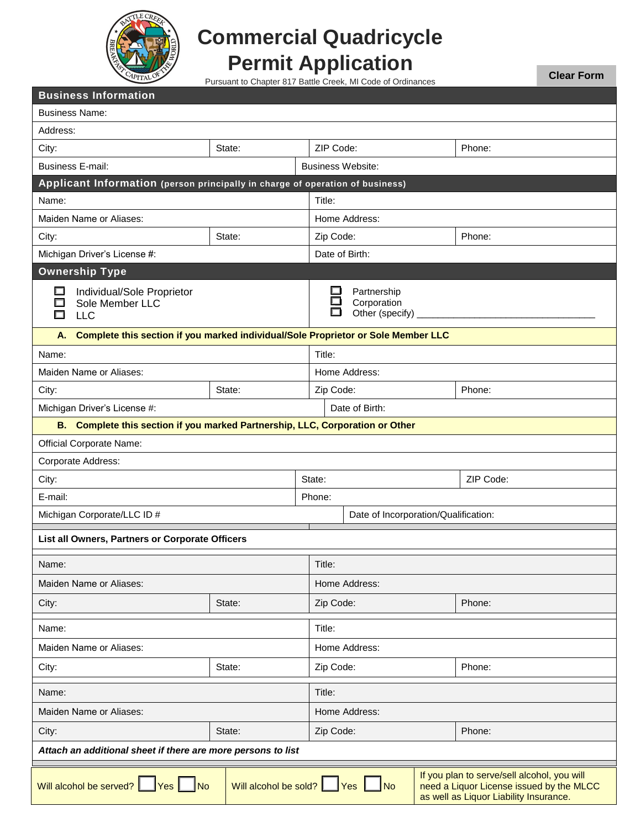

## **Commercial Quadricycle Permit Application**

Pursuant to Chapter 817 Battle Creek, MI Code of Ordinances

**Clear Form**

| <b>Business Information</b>                                                                                                                                                                                       |        |           |                                                 |  |           |  |
|-------------------------------------------------------------------------------------------------------------------------------------------------------------------------------------------------------------------|--------|-----------|-------------------------------------------------|--|-----------|--|
| <b>Business Name:</b>                                                                                                                                                                                             |        |           |                                                 |  |           |  |
| Address:                                                                                                                                                                                                          |        |           |                                                 |  |           |  |
| City:                                                                                                                                                                                                             | State: |           | ZIP Code:<br>Phone:                             |  |           |  |
| <b>Business E-mail:</b>                                                                                                                                                                                           |        |           | <b>Business Website:</b>                        |  |           |  |
| Applicant Information (person principally in charge of operation of business)                                                                                                                                     |        |           |                                                 |  |           |  |
| Name:                                                                                                                                                                                                             |        | Title:    |                                                 |  |           |  |
| Maiden Name or Aliases:                                                                                                                                                                                           |        |           | Home Address:                                   |  |           |  |
| City:                                                                                                                                                                                                             | State: | Zip Code: |                                                 |  | Phone:    |  |
| Michigan Driver's License #:                                                                                                                                                                                      |        |           | Date of Birth:                                  |  |           |  |
| <b>Ownership Type</b>                                                                                                                                                                                             |        |           |                                                 |  |           |  |
| Individual/Sole Proprietor<br>$\Box$<br>Sole Member LLC<br>$\Box$<br><b>LLC</b>                                                                                                                                   |        | $\Box$    | Partnership<br>Corporation<br>Other (specify) _ |  |           |  |
| Complete this section if you marked individual/Sole Proprietor or Sole Member LLC<br>А.                                                                                                                           |        |           |                                                 |  |           |  |
| Name:                                                                                                                                                                                                             |        | Title:    |                                                 |  |           |  |
| Maiden Name or Aliases:                                                                                                                                                                                           |        |           | Home Address:                                   |  |           |  |
| City:                                                                                                                                                                                                             | State: | Zip Code: |                                                 |  | Phone:    |  |
| Michigan Driver's License #:                                                                                                                                                                                      |        |           | Date of Birth:                                  |  |           |  |
| B. Complete this section if you marked Partnership, LLC, Corporation or Other                                                                                                                                     |        |           |                                                 |  |           |  |
| <b>Official Corporate Name:</b>                                                                                                                                                                                   |        |           |                                                 |  |           |  |
| Corporate Address:                                                                                                                                                                                                |        |           |                                                 |  |           |  |
| City:                                                                                                                                                                                                             |        | State:    |                                                 |  | ZIP Code: |  |
| E-mail:                                                                                                                                                                                                           |        | Phone:    |                                                 |  |           |  |
| Michigan Corporate/LLC ID #                                                                                                                                                                                       |        |           | Date of Incorporation/Qualification:            |  |           |  |
| List all Owners, Partners or Corporate Officers                                                                                                                                                                   |        |           |                                                 |  |           |  |
| Name:                                                                                                                                                                                                             |        | Title:    |                                                 |  |           |  |
| Maiden Name or Aliases:                                                                                                                                                                                           |        |           | Home Address:                                   |  |           |  |
| City:                                                                                                                                                                                                             | State: |           | Zip Code:<br>Phone:                             |  |           |  |
| Name:                                                                                                                                                                                                             |        | Title:    |                                                 |  |           |  |
| Maiden Name or Aliases:                                                                                                                                                                                           |        |           | Home Address:                                   |  |           |  |
| City:                                                                                                                                                                                                             | State: |           | Zip Code:<br>Phone:                             |  |           |  |
| Name:                                                                                                                                                                                                             |        | Title:    |                                                 |  |           |  |
| Maiden Name or Aliases:                                                                                                                                                                                           |        |           | Home Address:                                   |  |           |  |
| City:                                                                                                                                                                                                             | State: | Zip Code: |                                                 |  | Phone:    |  |
| Attach an additional sheet if there are more persons to list                                                                                                                                                      |        |           |                                                 |  |           |  |
| If you plan to serve/sell alcohol, you will<br>Will alcohol be sold?   <u>Yes</u>   No<br>Will alcohol be served?<br>Yes No<br>need a Liquor License issued by the MLCC<br>as well as Liquor Liability Insurance. |        |           |                                                 |  |           |  |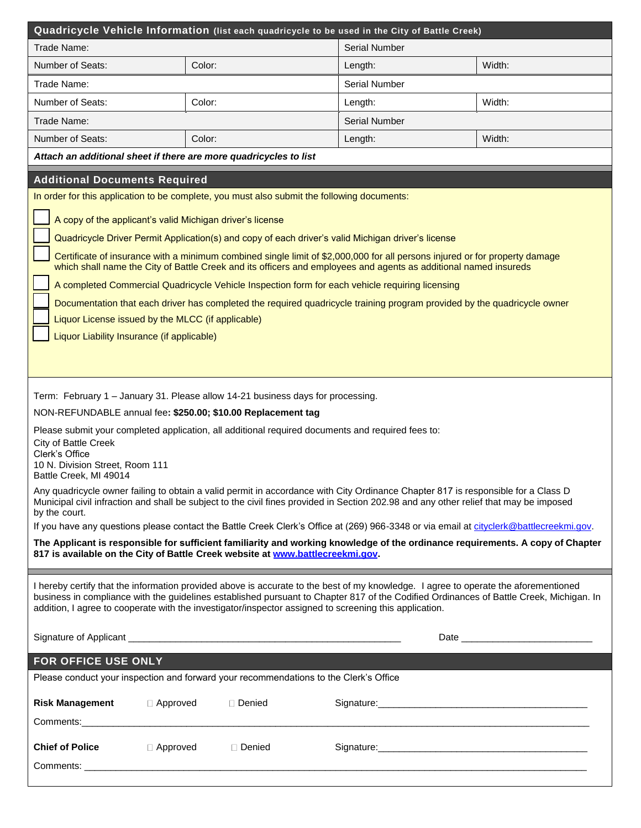|                                                                                                                                                                                                                                                                             | Quadricycle Vehicle Information (list each quadricycle to be used in the City of Battle Creek)                                                                                                                                                                                 |                       |        |  |  |  |  |
|-----------------------------------------------------------------------------------------------------------------------------------------------------------------------------------------------------------------------------------------------------------------------------|--------------------------------------------------------------------------------------------------------------------------------------------------------------------------------------------------------------------------------------------------------------------------------|-----------------------|--------|--|--|--|--|
| Trade Name:                                                                                                                                                                                                                                                                 |                                                                                                                                                                                                                                                                                | <b>Serial Number</b>  |        |  |  |  |  |
| Number of Seats:                                                                                                                                                                                                                                                            | Color:                                                                                                                                                                                                                                                                         | Length:               | Width: |  |  |  |  |
| Trade Name:                                                                                                                                                                                                                                                                 |                                                                                                                                                                                                                                                                                | <b>Serial Number</b>  |        |  |  |  |  |
| <b>Number of Seats:</b>                                                                                                                                                                                                                                                     | Color:                                                                                                                                                                                                                                                                         | Length:               | Width: |  |  |  |  |
| Trade Name:                                                                                                                                                                                                                                                                 |                                                                                                                                                                                                                                                                                | <b>Serial Number</b>  |        |  |  |  |  |
| Number of Seats:                                                                                                                                                                                                                                                            | Color:                                                                                                                                                                                                                                                                         | Length:               | Width: |  |  |  |  |
| Attach an additional sheet if there are more quadricycles to list                                                                                                                                                                                                           |                                                                                                                                                                                                                                                                                |                       |        |  |  |  |  |
| <b>Additional Documents Required</b>                                                                                                                                                                                                                                        |                                                                                                                                                                                                                                                                                |                       |        |  |  |  |  |
|                                                                                                                                                                                                                                                                             | In order for this application to be complete, you must also submit the following documents:                                                                                                                                                                                    |                       |        |  |  |  |  |
| A copy of the applicant's valid Michigan driver's license                                                                                                                                                                                                                   |                                                                                                                                                                                                                                                                                |                       |        |  |  |  |  |
|                                                                                                                                                                                                                                                                             | Quadricycle Driver Permit Application(s) and copy of each driver's valid Michigan driver's license                                                                                                                                                                             |                       |        |  |  |  |  |
|                                                                                                                                                                                                                                                                             | Certificate of insurance with a minimum combined single limit of \$2,000,000 for all persons injured or for property damage                                                                                                                                                    |                       |        |  |  |  |  |
|                                                                                                                                                                                                                                                                             | which shall name the City of Battle Creek and its officers and employees and agents as additional named insureds                                                                                                                                                               |                       |        |  |  |  |  |
|                                                                                                                                                                                                                                                                             | A completed Commercial Quadricycle Vehicle Inspection form for each vehicle requiring licensing                                                                                                                                                                                |                       |        |  |  |  |  |
|                                                                                                                                                                                                                                                                             | Documentation that each driver has completed the required quadricycle training program provided by the quadricycle owner                                                                                                                                                       |                       |        |  |  |  |  |
| Liquor License issued by the MLCC (if applicable)                                                                                                                                                                                                                           |                                                                                                                                                                                                                                                                                |                       |        |  |  |  |  |
| Liquor Liability Insurance (if applicable)                                                                                                                                                                                                                                  |                                                                                                                                                                                                                                                                                |                       |        |  |  |  |  |
|                                                                                                                                                                                                                                                                             |                                                                                                                                                                                                                                                                                |                       |        |  |  |  |  |
|                                                                                                                                                                                                                                                                             |                                                                                                                                                                                                                                                                                |                       |        |  |  |  |  |
|                                                                                                                                                                                                                                                                             | Term: February 1 – January 31. Please allow 14-21 business days for processing.                                                                                                                                                                                                |                       |        |  |  |  |  |
| NON-REFUNDABLE annual fee: \$250.00; \$10.00 Replacement tag                                                                                                                                                                                                                |                                                                                                                                                                                                                                                                                |                       |        |  |  |  |  |
|                                                                                                                                                                                                                                                                             | Please submit your completed application, all additional required documents and required fees to:                                                                                                                                                                              |                       |        |  |  |  |  |
| City of Battle Creek<br>Clerk's Office                                                                                                                                                                                                                                      |                                                                                                                                                                                                                                                                                |                       |        |  |  |  |  |
| 10 N. Division Street, Room 111                                                                                                                                                                                                                                             |                                                                                                                                                                                                                                                                                |                       |        |  |  |  |  |
| Battle Creek, MI 49014                                                                                                                                                                                                                                                      |                                                                                                                                                                                                                                                                                |                       |        |  |  |  |  |
| Any quadricycle owner failing to obtain a valid permit in accordance with City Ordinance Chapter 817 is responsible for a Class D<br>Municipal civil infraction and shall be subject to the civil fines provided in Section 202.98 and any other relief that may be imposed |                                                                                                                                                                                                                                                                                |                       |        |  |  |  |  |
| by the court.                                                                                                                                                                                                                                                               | If you have any questions please contact the Battle Creek Clerk's Office at (269) 966-3348 or via email at cityclerk@battlecreekmi.gov.                                                                                                                                        |                       |        |  |  |  |  |
|                                                                                                                                                                                                                                                                             |                                                                                                                                                                                                                                                                                |                       |        |  |  |  |  |
| The Applicant is responsible for sufficient familiarity and working knowledge of the ordinance requirements. A copy of Chapter<br>817 is available on the City of Battle Creek website at www.battlecreekmi.gov.                                                            |                                                                                                                                                                                                                                                                                |                       |        |  |  |  |  |
|                                                                                                                                                                                                                                                                             |                                                                                                                                                                                                                                                                                |                       |        |  |  |  |  |
|                                                                                                                                                                                                                                                                             | I hereby certify that the information provided above is accurate to the best of my knowledge. I agree to operate the aforementioned<br>business in compliance with the guidelines established pursuant to Chapter 817 of the Codified Ordinances of Battle Creek, Michigan. In |                       |        |  |  |  |  |
|                                                                                                                                                                                                                                                                             | addition, I agree to cooperate with the investigator/inspector assigned to screening this application.                                                                                                                                                                         |                       |        |  |  |  |  |
|                                                                                                                                                                                                                                                                             |                                                                                                                                                                                                                                                                                |                       |        |  |  |  |  |
|                                                                                                                                                                                                                                                                             |                                                                                                                                                                                                                                                                                |                       |        |  |  |  |  |
| FOR OFFICE USE ONLY                                                                                                                                                                                                                                                         |                                                                                                                                                                                                                                                                                |                       |        |  |  |  |  |
| Please conduct your inspection and forward your recommendations to the Clerk's Office                                                                                                                                                                                       |                                                                                                                                                                                                                                                                                |                       |        |  |  |  |  |
| <b>Risk Management</b><br>□ Approved                                                                                                                                                                                                                                        | □ Denied                                                                                                                                                                                                                                                                       |                       |        |  |  |  |  |
|                                                                                                                                                                                                                                                                             |                                                                                                                                                                                                                                                                                |                       |        |  |  |  |  |
|                                                                                                                                                                                                                                                                             |                                                                                                                                                                                                                                                                                |                       |        |  |  |  |  |
| <b>Chief of Police</b><br>$\Box$ Approved                                                                                                                                                                                                                                   | □ Denied                                                                                                                                                                                                                                                                       | Signature: Signature: |        |  |  |  |  |
|                                                                                                                                                                                                                                                                             |                                                                                                                                                                                                                                                                                |                       |        |  |  |  |  |